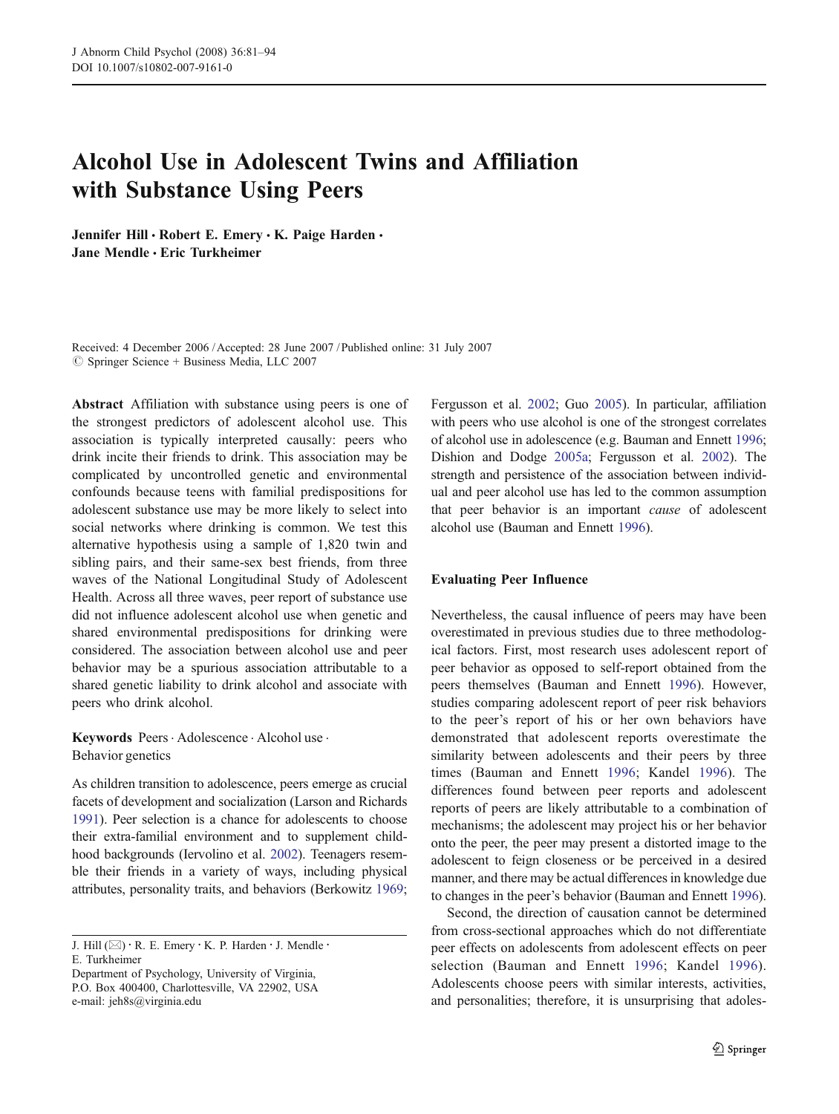# Alcohol Use in Adolescent Twins and Affiliation with Substance Using Peers

Jennifer Hill · Robert E. Emery · K. Paige Harden · Jane Mendle & Eric Turkheimer

Received: 4 December 2006 /Accepted: 28 June 2007 / Published online: 31 July 2007  $\oslash$  Springer Science + Business Media, LLC 2007

Abstract Affiliation with substance using peers is one of the strongest predictors of adolescent alcohol use. This association is typically interpreted causally: peers who drink incite their friends to drink. This association may be complicated by uncontrolled genetic and environmental confounds because teens with familial predispositions for adolescent substance use may be more likely to select into social networks where drinking is common. We test this alternative hypothesis using a sample of 1,820 twin and sibling pairs, and their same-sex best friends, from three waves of the National Longitudinal Study of Adolescent Health. Across all three waves, peer report of substance use did not influence adolescent alcohol use when genetic and shared environmental predispositions for drinking were considered. The association between alcohol use and peer behavior may be a spurious association attributable to a shared genetic liability to drink alcohol and associate with peers who drink alcohol.

Keywords Peers · Adolescence · Alcohol use · Behavior genetics

As children transition to adolescence, peers emerge as crucial facets of development and socialization (Larson and Richards [1991\)](#page-12-0). Peer selection is a chance for adolescents to choose their extra-familial environment and to supplement childhood backgrounds (Iervolino et al. [2002](#page-12-0)). Teenagers resemble their friends in a variety of ways, including physical attributes, personality traits, and behaviors (Berkowitz [1969](#page-12-0);

Department of Psychology, University of Virginia, P.O. Box 400400, Charlottesville, VA 22902, USA e-mail: jeh8s@virginia.edu

Fergusson et al. [2002](#page-12-0); Guo [2005\)](#page-12-0). In particular, affiliation with peers who use alcohol is one of the strongest correlates of alcohol use in adolescence (e.g. Bauman and Ennett [1996;](#page-12-0) Dishion and Dodge [2005a;](#page-12-0) Fergusson et al. [2002\)](#page-12-0). The strength and persistence of the association between individual and peer alcohol use has led to the common assumption that peer behavior is an important cause of adolescent alcohol use (Bauman and Ennett [1996](#page-12-0)).

## Evaluating Peer Influence

Nevertheless, the causal influence of peers may have been overestimated in previous studies due to three methodological factors. First, most research uses adolescent report of peer behavior as opposed to self-report obtained from the peers themselves (Bauman and Ennett [1996\)](#page-12-0). However, studies comparing adolescent report of peer risk behaviors to the peer's report of his or her own behaviors have demonstrated that adolescent reports overestimate the similarity between adolescents and their peers by three times (Bauman and Ennett [1996](#page-12-0); Kandel [1996](#page-12-0)). The differences found between peer reports and adolescent reports of peers are likely attributable to a combination of mechanisms; the adolescent may project his or her behavior onto the peer, the peer may present a distorted image to the adolescent to feign closeness or be perceived in a desired manner, and there may be actual differences in knowledge due to changes in the peer's behavior (Bauman and Ennett [1996\)](#page-12-0).

Second, the direction of causation cannot be determined from cross-sectional approaches which do not differentiate peer effects on adolescents from adolescent effects on peer selection (Bauman and Ennett [1996](#page-12-0); Kandel [1996](#page-12-0)). Adolescents choose peers with similar interests, activities, and personalities; therefore, it is unsurprising that adoles-

J. Hill  $(\boxtimes) \cdot R$ . E. Emery  $\cdot$  K. P. Harden  $\cdot$  J. Mendle  $\cdot$ E. Turkheimer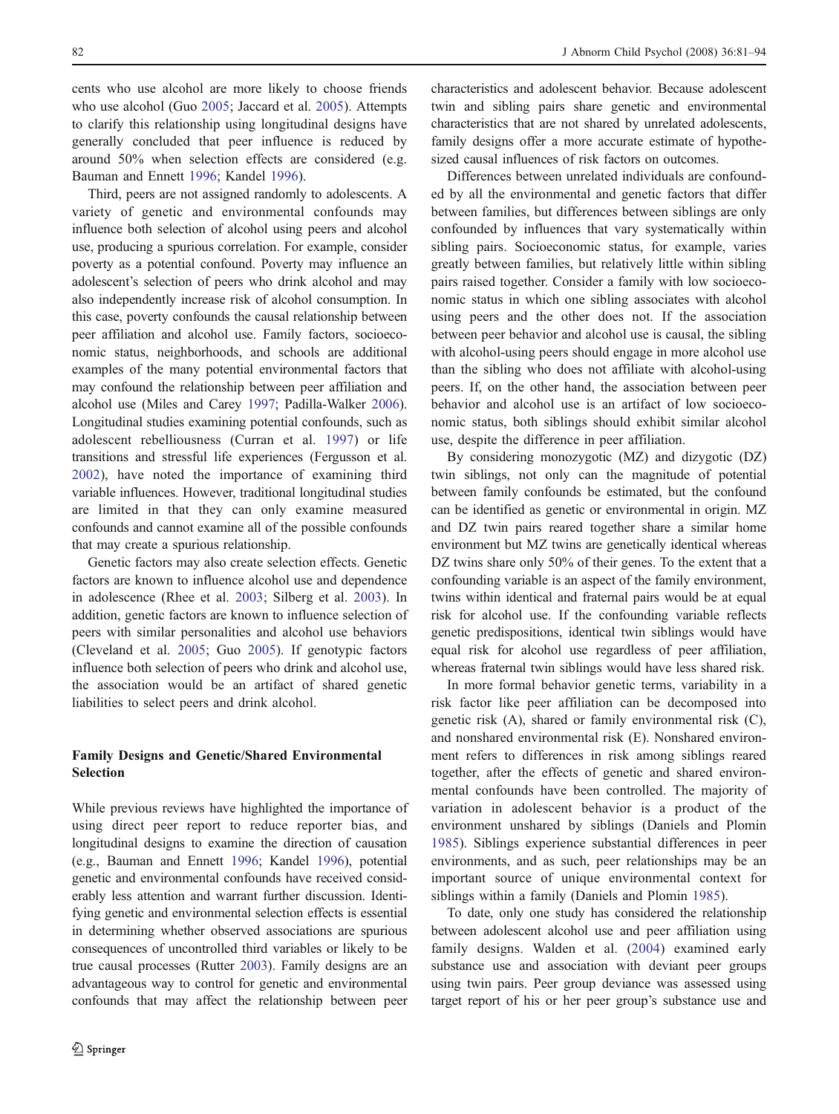cents who use alcohol are more likely to choose friends who use alcohol (Guo [2005](#page-12-0); Jaccard et al. [2005](#page-12-0)). Attempts to clarify this relationship using longitudinal designs have generally concluded that peer influence is reduced by around 50% when selection effects are considered (e.g. Bauman and Ennett [1996](#page-12-0); Kandel [1996\)](#page-12-0).

Third, peers are not assigned randomly to adolescents. A variety of genetic and environmental confounds may influence both selection of alcohol using peers and alcohol use, producing a spurious correlation. For example, consider poverty as a potential confound. Poverty may influence an adolescent's selection of peers who drink alcohol and may also independently increase risk of alcohol consumption. In this case, poverty confounds the causal relationship between peer affiliation and alcohol use. Family factors, socioeconomic status, neighborhoods, and schools are additional examples of the many potential environmental factors that may confound the relationship between peer affiliation and alcohol use (Miles and Carey [1997](#page-13-0); Padilla-Walker [2006\)](#page-13-0). Longitudinal studies examining potential confounds, such as adolescent rebelliousness (Curran et al. [1997](#page-12-0)) or life transitions and stressful life experiences (Fergusson et al. [2002](#page-12-0)), have noted the importance of examining third variable influences. However, traditional longitudinal studies are limited in that they can only examine measured confounds and cannot examine all of the possible confounds that may create a spurious relationship.

Genetic factors may also create selection effects. Genetic factors are known to influence alcohol use and dependence in adolescence (Rhee et al. [2003](#page-13-0); Silberg et al. [2003](#page-13-0)). In addition, genetic factors are known to influence selection of peers with similar personalities and alcohol use behaviors (Cleveland et al. [2005](#page-12-0); Guo [2005](#page-12-0)). If genotypic factors influence both selection of peers who drink and alcohol use, the association would be an artifact of shared genetic liabilities to select peers and drink alcohol.

# Family Designs and Genetic/Shared Environmental Selection

While previous reviews have highlighted the importance of using direct peer report to reduce reporter bias, and longitudinal designs to examine the direction of causation (e.g., Bauman and Ennett [1996](#page-12-0); Kandel [1996](#page-12-0)), potential genetic and environmental confounds have received considerably less attention and warrant further discussion. Identifying genetic and environmental selection effects is essential in determining whether observed associations are spurious consequences of uncontrolled third variables or likely to be true causal processes (Rutter [2003](#page-13-0)). Family designs are an advantageous way to control for genetic and environmental confounds that may affect the relationship between peer

characteristics and adolescent behavior. Because adolescent twin and sibling pairs share genetic and environmental characteristics that are not shared by unrelated adolescents, family designs offer a more accurate estimate of hypothesized causal influences of risk factors on outcomes.

Differences between unrelated individuals are confounded by all the environmental and genetic factors that differ between families, but differences between siblings are only confounded by influences that vary systematically within sibling pairs. Socioeconomic status, for example, varies greatly between families, but relatively little within sibling pairs raised together. Consider a family with low socioeconomic status in which one sibling associates with alcohol using peers and the other does not. If the association between peer behavior and alcohol use is causal, the sibling with alcohol-using peers should engage in more alcohol use than the sibling who does not affiliate with alcohol-using peers. If, on the other hand, the association between peer behavior and alcohol use is an artifact of low socioeconomic status, both siblings should exhibit similar alcohol use, despite the difference in peer affiliation.

By considering monozygotic (MZ) and dizygotic (DZ) twin siblings, not only can the magnitude of potential between family confounds be estimated, but the confound can be identified as genetic or environmental in origin. MZ and DZ twin pairs reared together share a similar home environment but MZ twins are genetically identical whereas DZ twins share only 50% of their genes. To the extent that a confounding variable is an aspect of the family environment, twins within identical and fraternal pairs would be at equal risk for alcohol use. If the confounding variable reflects genetic predispositions, identical twin siblings would have equal risk for alcohol use regardless of peer affiliation, whereas fraternal twin siblings would have less shared risk.

In more formal behavior genetic terms, variability in a risk factor like peer affiliation can be decomposed into genetic risk (A), shared or family environmental risk (C), and nonshared environmental risk (E). Nonshared environment refers to differences in risk among siblings reared together, after the effects of genetic and shared environmental confounds have been controlled. The majority of variation in adolescent behavior is a product of the environment unshared by siblings (Daniels and Plomin [1985](#page-12-0)). Siblings experience substantial differences in peer environments, and as such, peer relationships may be an important source of unique environmental context for siblings within a family (Daniels and Plomin [1985\)](#page-12-0).

To date, only one study has considered the relationship between adolescent alcohol use and peer affiliation using family designs. Walden et al. ([2004\)](#page-13-0) examined early substance use and association with deviant peer groups using twin pairs. Peer group deviance was assessed using target report of his or her peer group's substance use and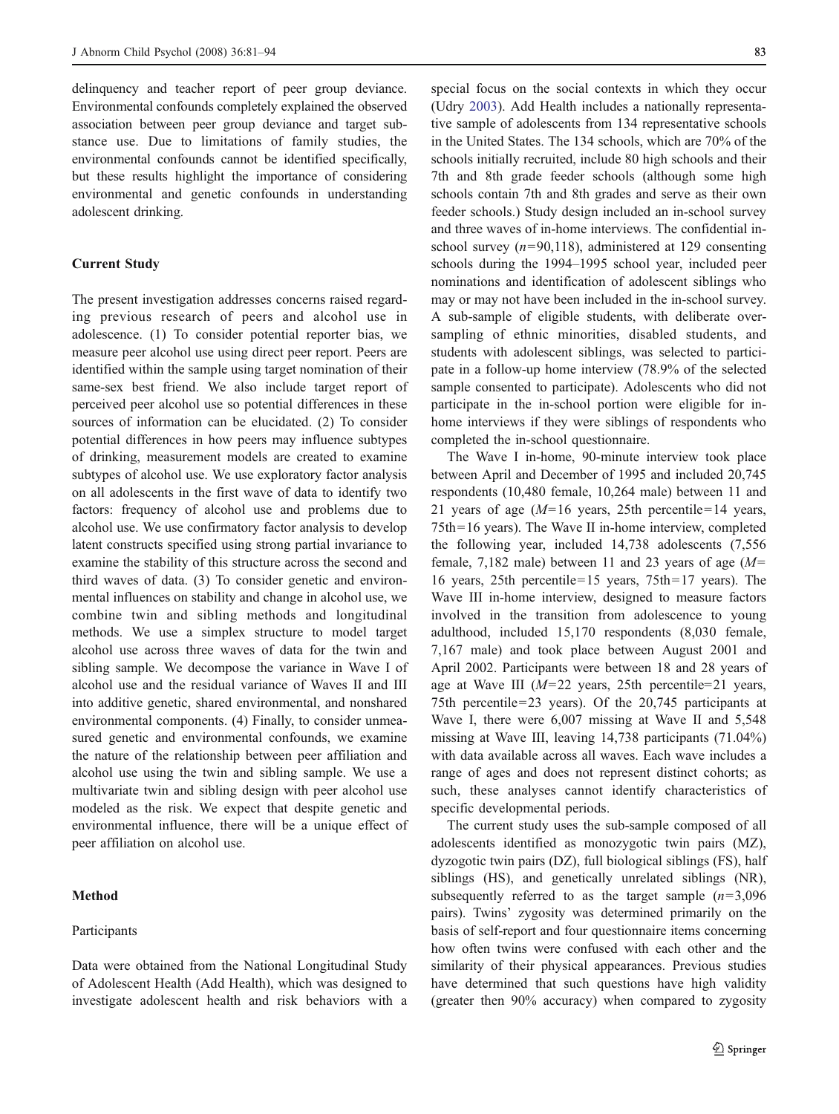delinquency and teacher report of peer group deviance. Environmental confounds completely explained the observed association between peer group deviance and target substance use. Due to limitations of family studies, the environmental confounds cannot be identified specifically, but these results highlight the importance of considering environmental and genetic confounds in understanding adolescent drinking.

### Current Study

The present investigation addresses concerns raised regarding previous research of peers and alcohol use in adolescence. (1) To consider potential reporter bias, we measure peer alcohol use using direct peer report. Peers are identified within the sample using target nomination of their same-sex best friend. We also include target report of perceived peer alcohol use so potential differences in these sources of information can be elucidated. (2) To consider potential differences in how peers may influence subtypes of drinking, measurement models are created to examine subtypes of alcohol use. We use exploratory factor analysis on all adolescents in the first wave of data to identify two factors: frequency of alcohol use and problems due to alcohol use. We use confirmatory factor analysis to develop latent constructs specified using strong partial invariance to examine the stability of this structure across the second and third waves of data. (3) To consider genetic and environmental influences on stability and change in alcohol use, we combine twin and sibling methods and longitudinal methods. We use a simplex structure to model target alcohol use across three waves of data for the twin and sibling sample. We decompose the variance in Wave I of alcohol use and the residual variance of Waves II and III into additive genetic, shared environmental, and nonshared environmental components. (4) Finally, to consider unmeasured genetic and environmental confounds, we examine the nature of the relationship between peer affiliation and alcohol use using the twin and sibling sample. We use a multivariate twin and sibling design with peer alcohol use modeled as the risk. We expect that despite genetic and environmental influence, there will be a unique effect of peer affiliation on alcohol use.

## Method

#### Participants

Data were obtained from the National Longitudinal Study of Adolescent Health (Add Health), which was designed to investigate adolescent health and risk behaviors with a special focus on the social contexts in which they occur (Udry [2003](#page-13-0)). Add Health includes a nationally representative sample of adolescents from 134 representative schools in the United States. The 134 schools, which are 70% of the schools initially recruited, include 80 high schools and their 7th and 8th grade feeder schools (although some high schools contain 7th and 8th grades and serve as their own feeder schools.) Study design included an in-school survey and three waves of in-home interviews. The confidential inschool survey ( $n=90,118$ ), administered at 129 consenting schools during the 1994–1995 school year, included peer nominations and identification of adolescent siblings who may or may not have been included in the in-school survey. A sub-sample of eligible students, with deliberate oversampling of ethnic minorities, disabled students, and students with adolescent siblings, was selected to participate in a follow-up home interview (78.9% of the selected sample consented to participate). Adolescents who did not participate in the in-school portion were eligible for inhome interviews if they were siblings of respondents who completed the in-school questionnaire.

The Wave I in-home, 90-minute interview took place between April and December of 1995 and included 20,745 respondents (10,480 female, 10,264 male) between 11 and 21 years of age  $(M=16$  years, 25th percentile=14 years, 75th=16 years). The Wave II in-home interview, completed the following year, included 14,738 adolescents (7,556 female, 7,182 male) between 11 and 23 years of age  $(M=$ 16 years, 25th percentile=15 years, 75th=17 years). The Wave III in-home interview, designed to measure factors involved in the transition from adolescence to young adulthood, included 15,170 respondents (8,030 female, 7,167 male) and took place between August 2001 and April 2002. Participants were between 18 and 28 years of age at Wave III  $(M=22 \text{ years}, 25 \text{th} \text{ percentile}=21 \text{ years},$ 75th percentile=23 years). Of the 20,745 participants at Wave I, there were 6,007 missing at Wave II and 5,548 missing at Wave III, leaving 14,738 participants (71.04%) with data available across all waves. Each wave includes a range of ages and does not represent distinct cohorts; as such, these analyses cannot identify characteristics of specific developmental periods.

The current study uses the sub-sample composed of all adolescents identified as monozygotic twin pairs (MZ), dyzogotic twin pairs (DZ), full biological siblings (FS), half siblings (HS), and genetically unrelated siblings (NR), subsequently referred to as the target sample  $(n=3,096)$ pairs). Twins' zygosity was determined primarily on the basis of self-report and four questionnaire items concerning how often twins were confused with each other and the similarity of their physical appearances. Previous studies have determined that such questions have high validity (greater then 90% accuracy) when compared to zygosity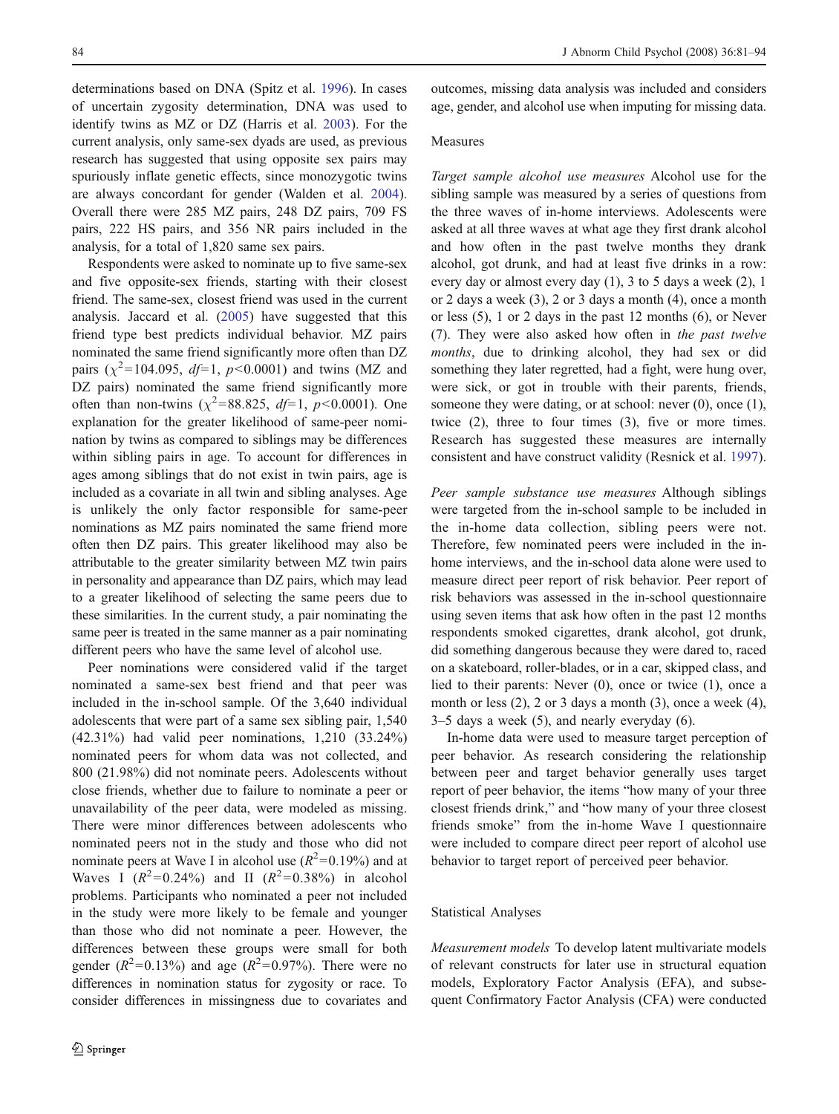determinations based on DNA (Spitz et al. [1996\)](#page-13-0). In cases of uncertain zygosity determination, DNA was used to identify twins as MZ or DZ (Harris et al. [2003](#page-12-0)). For the current analysis, only same-sex dyads are used, as previous research has suggested that using opposite sex pairs may spuriously inflate genetic effects, since monozygotic twins are always concordant for gender (Walden et al. [2004](#page-13-0)). Overall there were 285 MZ pairs, 248 DZ pairs, 709 FS pairs, 222 HS pairs, and 356 NR pairs included in the analysis, for a total of 1,820 same sex pairs.

Respondents were asked to nominate up to five same-sex and five opposite-sex friends, starting with their closest friend. The same-sex, closest friend was used in the current analysis. Jaccard et al. ([2005\)](#page-12-0) have suggested that this friend type best predicts individual behavior. MZ pairs nominated the same friend significantly more often than DZ pairs  $(\chi^2 = 104.095, df = 1, p < 0.0001)$  and twins (MZ and DZ pairs) nominated the same friend significantly more often than non-twins  $(\chi^2 = 88.825, df = 1, p < 0.0001)$ . One explanation for the greater likelihood of same-peer nomination by twins as compared to siblings may be differences within sibling pairs in age. To account for differences in ages among siblings that do not exist in twin pairs, age is included as a covariate in all twin and sibling analyses. Age is unlikely the only factor responsible for same-peer nominations as MZ pairs nominated the same friend more often then DZ pairs. This greater likelihood may also be attributable to the greater similarity between MZ twin pairs in personality and appearance than DZ pairs, which may lead to a greater likelihood of selecting the same peers due to these similarities. In the current study, a pair nominating the same peer is treated in the same manner as a pair nominating different peers who have the same level of alcohol use.

Peer nominations were considered valid if the target nominated a same-sex best friend and that peer was included in the in-school sample. Of the 3,640 individual adolescents that were part of a same sex sibling pair, 1,540 (42.31%) had valid peer nominations, 1,210 (33.24%) nominated peers for whom data was not collected, and 800 (21.98%) did not nominate peers. Adolescents without close friends, whether due to failure to nominate a peer or unavailability of the peer data, were modeled as missing. There were minor differences between adolescents who nominated peers not in the study and those who did not nominate peers at Wave I in alcohol use  $(R^2=0.19\%)$  and at Waves I  $(R^2=0.24\%)$  and II  $(R^2=0.38\%)$  in alcohol problems. Participants who nominated a peer not included in the study were more likely to be female and younger than those who did not nominate a peer. However, the differences between these groups were small for both gender  $(R^2=0.13\%)$  and age  $(R^2=0.97\%)$ . There were no differences in nomination status for zygosity or race. To consider differences in missingness due to covariates and

outcomes, missing data analysis was included and considers age, gender, and alcohol use when imputing for missing data.

#### Measures

Target sample alcohol use measures Alcohol use for the sibling sample was measured by a series of questions from the three waves of in-home interviews. Adolescents were asked at all three waves at what age they first drank alcohol and how often in the past twelve months they drank alcohol, got drunk, and had at least five drinks in a row: every day or almost every day (1), 3 to 5 days a week (2), 1 or 2 days a week (3), 2 or 3 days a month (4), once a month or less (5), 1 or 2 days in the past 12 months (6), or Never (7). They were also asked how often in the past twelve months, due to drinking alcohol, they had sex or did something they later regretted, had a fight, were hung over, were sick, or got in trouble with their parents, friends, someone they were dating, or at school: never  $(0)$ , once  $(1)$ , twice (2), three to four times (3), five or more times. Research has suggested these measures are internally consistent and have construct validity (Resnick et al. [1997\)](#page-13-0).

Peer sample substance use measures Although siblings were targeted from the in-school sample to be included in the in-home data collection, sibling peers were not. Therefore, few nominated peers were included in the inhome interviews, and the in-school data alone were used to measure direct peer report of risk behavior. Peer report of risk behaviors was assessed in the in-school questionnaire using seven items that ask how often in the past 12 months respondents smoked cigarettes, drank alcohol, got drunk, did something dangerous because they were dared to, raced on a skateboard, roller-blades, or in a car, skipped class, and lied to their parents: Never (0), once or twice (1), once a month or less (2), 2 or 3 days a month (3), once a week (4), 3–5 days a week (5), and nearly everyday (6).

In-home data were used to measure target perception of peer behavior. As research considering the relationship between peer and target behavior generally uses target report of peer behavior, the items "how many of your three closest friends drink," and "how many of your three closest friends smoke" from the in-home Wave I questionnaire were included to compare direct peer report of alcohol use behavior to target report of perceived peer behavior.

# Statistical Analyses

Measurement models To develop latent multivariate models of relevant constructs for later use in structural equation models, Exploratory Factor Analysis (EFA), and subsequent Confirmatory Factor Analysis (CFA) were conducted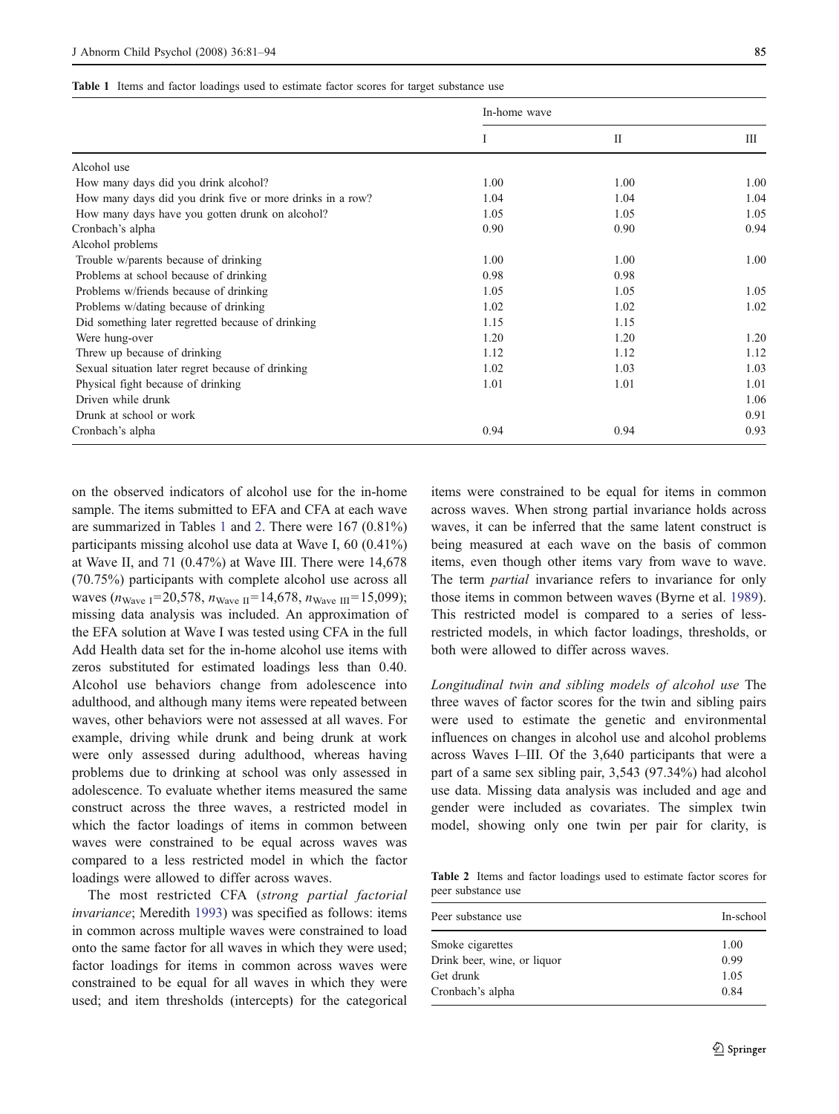| Table 1 Items and factor loadings used to estimate factor scores for target substance use |  |  |  |  |  |  |
|-------------------------------------------------------------------------------------------|--|--|--|--|--|--|
|                                                                                           |  |  |  |  |  |  |

|                                                           | In-home wave |              |      |  |
|-----------------------------------------------------------|--------------|--------------|------|--|
|                                                           | I            | $\mathbf{I}$ | Ш    |  |
| Alcohol use                                               |              |              |      |  |
| How many days did you drink alcohol?                      | 1.00         | 1.00         | 1.00 |  |
| How many days did you drink five or more drinks in a row? | 1.04         | 1.04         | 1.04 |  |
| How many days have you gotten drunk on alcohol?           | 1.05         | 1.05         | 1.05 |  |
| Cronbach's alpha                                          | 0.90         | 0.90         | 0.94 |  |
| Alcohol problems                                          |              |              |      |  |
| Trouble w/parents because of drinking                     | 1.00         | 1.00         | 1.00 |  |
| Problems at school because of drinking                    | 0.98         | 0.98         |      |  |
| Problems w/friends because of drinking                    | 1.05         | 1.05         | 1.05 |  |
| Problems w/dating because of drinking                     | 1.02         | 1.02         | 1.02 |  |
| Did something later regretted because of drinking         | 1.15         | 1.15         |      |  |
| Were hung-over                                            | 1.20         | 1.20         | 1.20 |  |
| Threw up because of drinking                              | 1.12         | 1.12         | 1.12 |  |
| Sexual situation later regret because of drinking         | 1.02         | 1.03         | 1.03 |  |
| Physical fight because of drinking                        | 1.01         | 1.01         | 1.01 |  |
| Driven while drunk                                        |              |              | 1.06 |  |
| Drunk at school or work                                   |              |              | 0.91 |  |
| Cronbach's alpha                                          | 0.94         | 0.94         | 0.93 |  |

on the observed indicators of alcohol use for the in-home sample. The items submitted to EFA and CFA at each wave are summarized in Tables [1](#page-4-0) and [2](#page-4-0). There were 167 (0.81%) participants missing alcohol use data at Wave I, 60 (0.41%) at Wave II, and 71 (0.47%) at Wave III. There were 14,678 (70.75%) participants with complete alcohol use across all waves  $(n_{\text{Wave }I} = 20,578, n_{\text{Wave }II} = 14,678, n_{\text{Wave }III} = 15,099);$ missing data analysis was included. An approximation of the EFA solution at Wave I was tested using CFA in the full Add Health data set for the in-home alcohol use items with zeros substituted for estimated loadings less than 0.40. Alcohol use behaviors change from adolescence into adulthood, and although many items were repeated between waves, other behaviors were not assessed at all waves. For example, driving while drunk and being drunk at work were only assessed during adulthood, whereas having problems due to drinking at school was only assessed in adolescence. To evaluate whether items measured the same construct across the three waves, a restricted model in which the factor loadings of items in common between waves were constrained to be equal across waves was compared to a less restricted model in which the factor loadings were allowed to differ across waves.

<span id="page-4-0"></span>The most restricted CFA (strong partial factorial invariance; Meredith [1993](#page-12-0)) was specified as follows: items in common across multiple waves were constrained to load onto the same factor for all waves in which they were used; factor loadings for items in common across waves were constrained to be equal for all waves in which they were used; and item thresholds (intercepts) for the categorical items were constrained to be equal for items in common across waves. When strong partial invariance holds across waves, it can be inferred that the same latent construct is being measured at each wave on the basis of common items, even though other items vary from wave to wave. The term *partial* invariance refers to invariance for only those items in common between waves (Byrne et al. [1989\)](#page-12-0). This restricted model is compared to a series of lessrestricted models, in which factor loadings, thresholds, or both were allowed to differ across waves.

Longitudinal twin and sibling models of alcohol use The three waves of factor scores for the twin and sibling pairs were used to estimate the genetic and environmental influences on changes in alcohol use and alcohol problems across Waves I–III. Of the 3,640 participants that were a part of a same sex sibling pair, 3,543 (97.34%) had alcohol use data. Missing data analysis was included and age and gender were included as covariates. The simplex twin model, showing only one twin per pair for clarity, is

Table 2 Items and factor loadings used to estimate factor scores for peer substance use

| Peer substance use          | In-school |
|-----------------------------|-----------|
| Smoke cigarettes            | 1.00      |
| Drink beer, wine, or liquor | 0.99      |
| Get drunk                   | 1.05      |
| Cronbach's alpha            | 0.84      |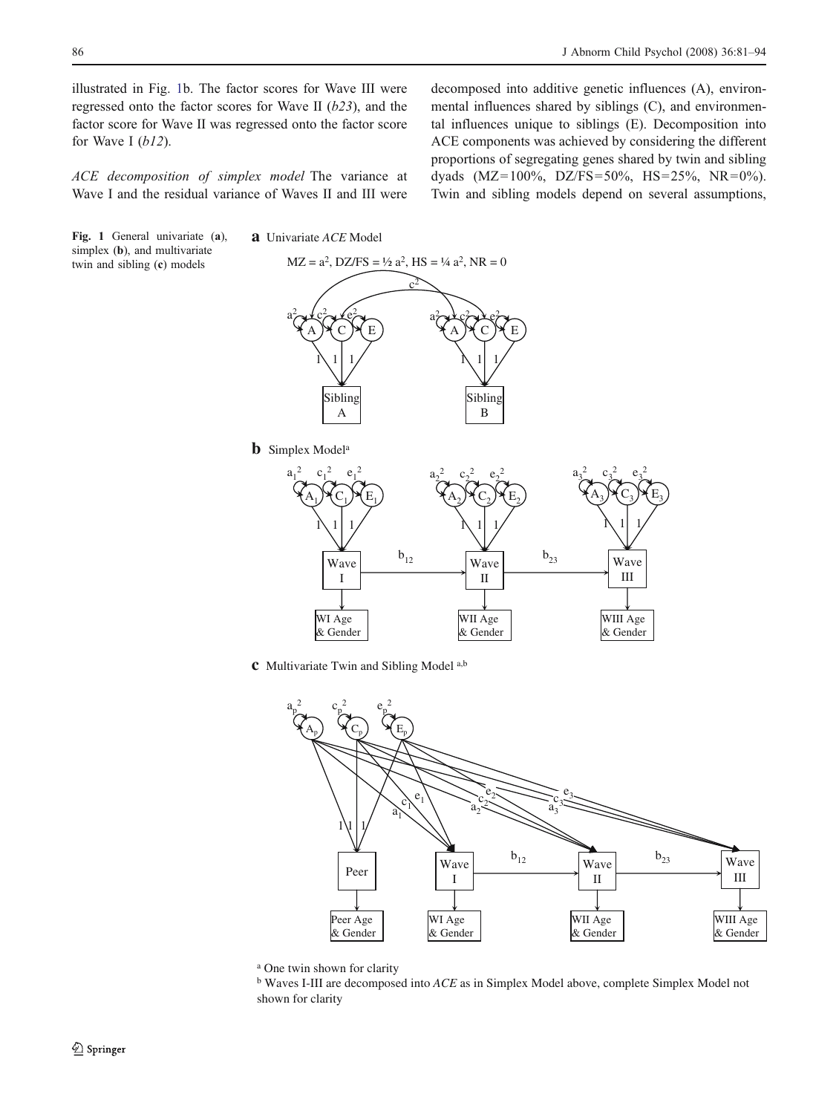decomposed into additive genetic influences (A), environmental influences shared by siblings (C), and environmental influences unique to siblings (E). Decomposition into ACE components was achieved by considering the different proportions of segregating genes shared by twin and sibling dyads (MZ=100%, DZ/FS=50%, HS=25%, NR=0%). Twin and sibling models depend on several assumptions,

illustrated in Fig. [1b](#page-5-0). The factor scores for Wave III were regressed onto the factor scores for Wave II  $(b23)$ , and the factor score for Wave II was regressed onto the factor score for Wave I  $(b12)$ .

ACE decomposition of simplex model The variance at Wave I and the residual variance of Waves II and III were

Fig. 1 General univariate (a), simplex (b), and multivariate twin and sibling (c) models

**a** Uni variate *ACE* Model

**b** Simplex Model<sup>a</sup> Sibling A Sibling B A Y (C Y E ) Y A Y (C Y E  $MZ = a^2$ ,  $DZ/FS = \frac{1}{2} a^2$ ,  $HS = \frac{1}{4} a^2$ ,  $NR = 0$  $c^2$  $a^2$   $x^2c^2$   $x^2c^2$   $a^2$   $x^2c^2$  $1/1$   $1/1$ Wave I  $A_1$   $(C_1)$   $(E_1)$  $c<sub>1</sub>$  $a_1^2$   $c_1^2$  $c_1^2$  e<sub>1</sub> 2  $1\vert 1$  $b_{12}$   $\overline{\text{Wave}}$   $b_{23}$ II  $A_2$   $(C_2)$   $(E_2)$  $c_2$  $a_2^2$   $c_2^2$  $\frac{2}{2}$  e<sub>2</sub> e<sub>2</sub> 2 <sup>1</sup>1 Wave III  $A_3$   $(C_3)$   $(E_3)$  $c_3$  $a_3^2$   $c_3^2$  $\frac{2}{2}$  e<sub>3</sub> 2  $\bigwedge 1$ | 1 WIII Age & Gender WII Age & Gender WI Age & Gender

**c** Multivariate Twin and Sibling Model a,b



<sup>a</sup> One twin shown for clarity

<span id="page-5-0"></span><sup>b</sup> Waves I-III are decomposed into *ACE* as in Simplex Model above, complete Simplex Model not shown for clarity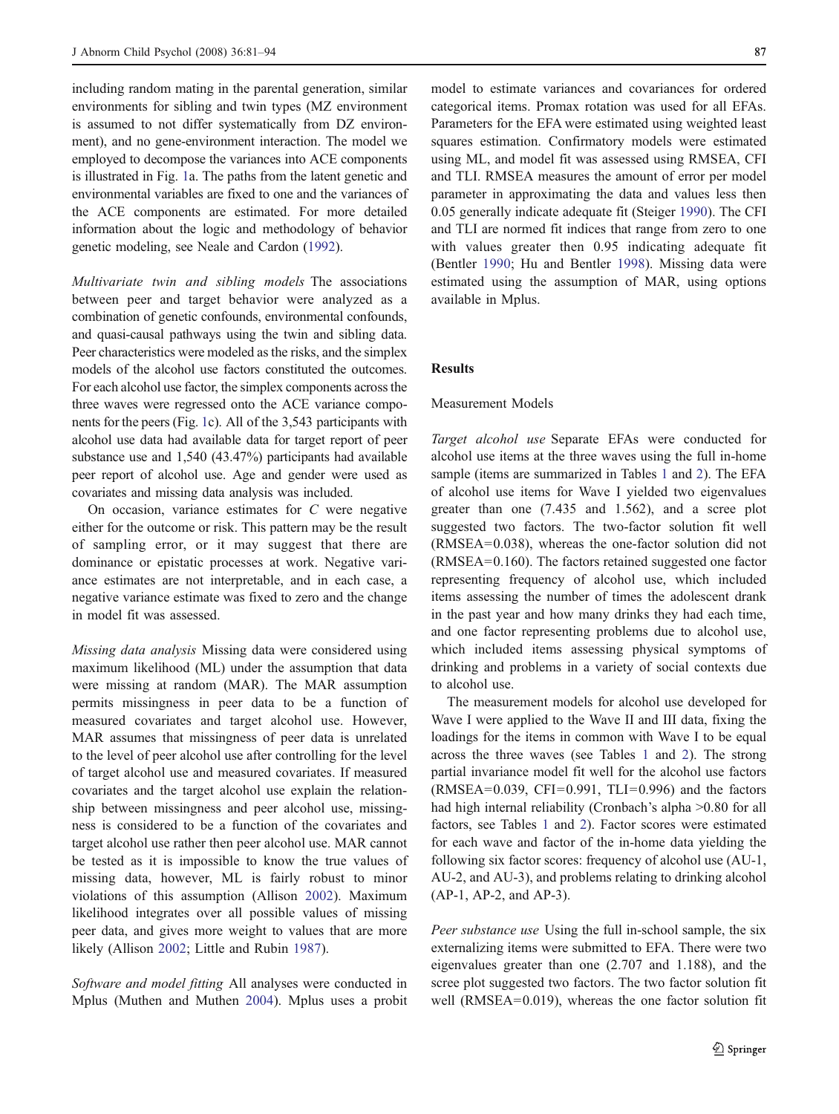including random mating in the parental generation, similar environments for sibling and twin types (MZ environment is assumed to not differ systematically from DZ environment), and no gene-environment interaction. The model we employed to decompose the variances into ACE components is illustrated in Fig. [1](#page-5-0)a. The paths from the latent genetic and environmental variables are fixed to one and the variances of the ACE components are estimated. For more detailed information about the logic and methodology of behavior genetic modeling, see Neale and Cardon [\(1992](#page-13-0)).

Multivariate twin and sibling models The associations between peer and target behavior were analyzed as a combination of genetic confounds, environmental confounds, and quasi-causal pathways using the twin and sibling data. Peer characteristics were modeled as the risks, and the simplex models of the alcohol use factors constituted the outcomes. For each alcohol use factor, the simplex components across the three waves were regressed onto the ACE variance components for the peers (Fig. [1c](#page-5-0)). All of the 3,543 participants with alcohol use data had available data for target report of peer substance use and 1,540 (43.47%) participants had available peer report of alcohol use. Age and gender were used as covariates and missing data analysis was included.

On occasion, variance estimates for C were negative either for the outcome or risk. This pattern may be the result of sampling error, or it may suggest that there are dominance or epistatic processes at work. Negative variance estimates are not interpretable, and in each case, a negative variance estimate was fixed to zero and the change in model fit was assessed.

Missing data analysis Missing data were considered using maximum likelihood (ML) under the assumption that data were missing at random (MAR). The MAR assumption permits missingness in peer data to be a function of measured covariates and target alcohol use. However, MAR assumes that missingness of peer data is unrelated to the level of peer alcohol use after controlling for the level of target alcohol use and measured covariates. If measured covariates and the target alcohol use explain the relationship between missingness and peer alcohol use, missingness is considered to be a function of the covariates and target alcohol use rather then peer alcohol use. MAR cannot be tested as it is impossible to know the true values of missing data, however, ML is fairly robust to minor violations of this assumption (Allison [2002\)](#page-12-0). Maximum likelihood integrates over all possible values of missing peer data, and gives more weight to values that are more likely (Allison [2002](#page-12-0); Little and Rubin [1987](#page-12-0)).

Software and model fitting All analyses were conducted in Mplus (Muthen and Muthen [2004](#page-13-0)). Mplus uses a probit

model to estimate variances and covariances for ordered categorical items. Promax rotation was used for all EFAs. Parameters for the EFA were estimated using weighted least squares estimation. Confirmatory models were estimated using ML, and model fit was assessed using RMSEA, CFI and TLI. RMSEA measures the amount of error per model parameter in approximating the data and values less then 0.05 generally indicate adequate fit (Steiger [1990](#page-13-0)). The CFI and TLI are normed fit indices that range from zero to one with values greater then 0.95 indicating adequate fit (Bentler [1990;](#page-12-0) Hu and Bentler [1998](#page-12-0)). Missing data were estimated using the assumption of MAR, using options available in Mplus.

# Results

#### Measurement Models

Target alcohol use Separate EFAs were conducted for alcohol use items at the three waves using the full in-home sample (items are summarized in Tables [1](#page-4-0) and [2](#page-4-0)). The EFA of alcohol use items for Wave I yielded two eigenvalues greater than one (7.435 and 1.562), and a scree plot suggested two factors. The two-factor solution fit well (RMSEA=0.038), whereas the one-factor solution did not (RMSEA=0.160). The factors retained suggested one factor representing frequency of alcohol use, which included items assessing the number of times the adolescent drank in the past year and how many drinks they had each time, and one factor representing problems due to alcohol use, which included items assessing physical symptoms of drinking and problems in a variety of social contexts due to alcohol use.

The measurement models for alcohol use developed for Wave I were applied to the Wave II and III data, fixing the loadings for the items in common with Wave I to be equal across the three waves (see Tables [1](#page-4-0) and [2](#page-4-0)). The strong partial invariance model fit well for the alcohol use factors  $(RMSEA=0.039, CFI=0.991, TLI=0.996)$  and the factors had high internal reliability (Cronbach's alpha >0.80 for all factors, see Tables [1](#page-4-0) and [2\)](#page-4-0). Factor scores were estimated for each wave and factor of the in-home data yielding the following six factor scores: frequency of alcohol use (AU-1, AU-2, and AU-3), and problems relating to drinking alcohol (AP-1, AP-2, and AP-3).

Peer substance use Using the full in-school sample, the six externalizing items were submitted to EFA. There were two eigenvalues greater than one (2.707 and 1.188), and the scree plot suggested two factors. The two factor solution fit well (RMSEA=0.019), whereas the one factor solution fit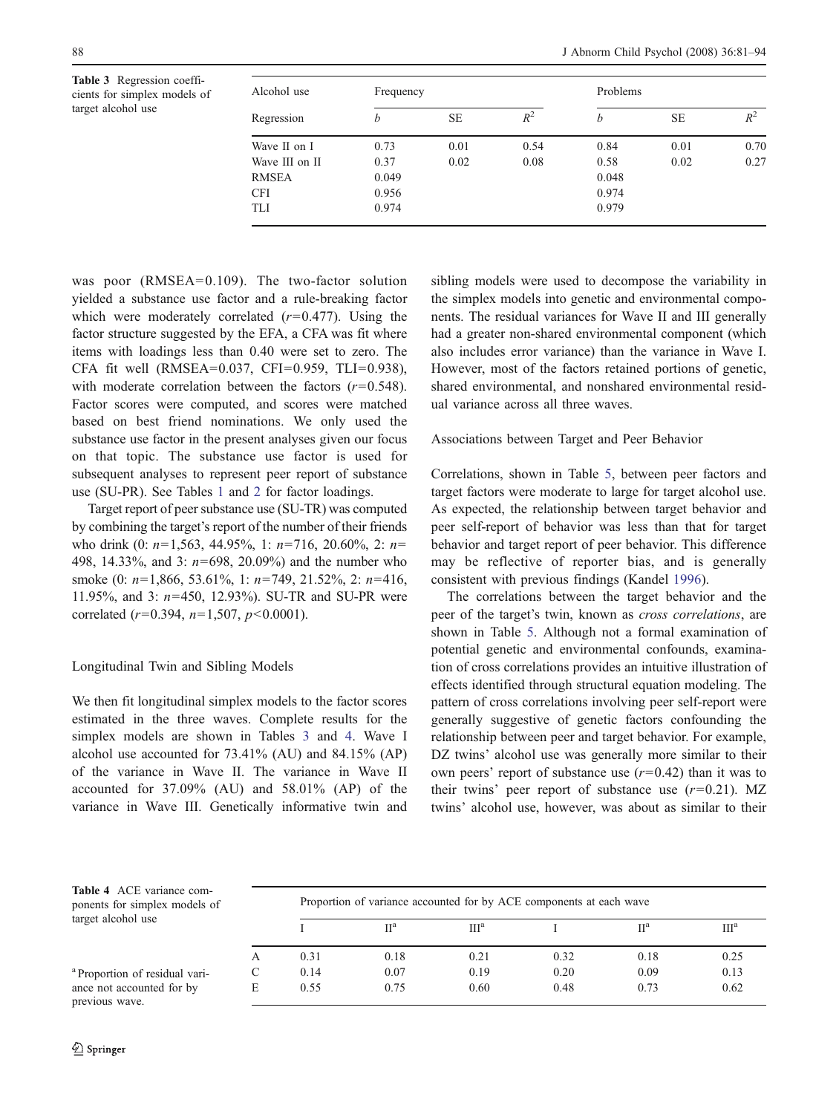Table 3 Regression coefficients for simplex models of target alcohol use

| Alcohol use    | Frequency |      |       | Problems |      |       |  |  |
|----------------|-----------|------|-------|----------|------|-------|--|--|
| Regression     | b         | SE   | $R^2$ | b        | SE   | $R^2$ |  |  |
| Wave II on I   | 0.73      | 0.01 | 0.54  | 0.84     | 0.01 | 0.70  |  |  |
| Wave III on II | 0.37      | 0.02 | 0.08  | 0.58     | 0.02 | 0.27  |  |  |
| <b>RMSEA</b>   | 0.049     |      |       | 0.048    |      |       |  |  |
| <b>CFI</b>     | 0.956     |      |       | 0.974    |      |       |  |  |
| TLI            | 0.974     |      |       | 0.979    |      |       |  |  |

was poor (RMSEA=0.109). The two-factor solution yielded a substance use factor and a rule-breaking factor which were moderately correlated  $(r=0.477)$ . Using the factor structure suggested by the EFA, a CFA was fit where items with loadings less than 0.40 were set to zero. The CFA fit well (RMSEA=0.037, CFI=0.959, TLI=0.938), with moderate correlation between the factors  $(r=0.548)$ . Factor scores were computed, and scores were matched based on best friend nominations. We only used the substance use factor in the present analyses given our focus on that topic. The substance use factor is used for subsequent analyses to represent peer report of substance use (SU-PR). See Tables [1](#page-4-0) and [2](#page-4-0) for factor loadings.

Target report of peer substance use (SU-TR) was computed by combining the target's report of the number of their friends who drink  $(0: n=1,563, 44.95\%, 1: n=716, 20.60\%, 2: n=$ 498, 14.33%, and 3: n=698, 20.09%) and the number who smoke  $(0: n=1,866, 53.61\%, 1: n=749, 21.52\%, 2: n=416,$ 11.95%, and 3: n=450, 12.93%). SU-TR and SU-PR were correlated  $(r=0.394, n=1.507, p<0.0001)$ .

## Longitudinal Twin and Sibling Models

We then fit longitudinal simplex models to the factor scores estimated in the three waves. Complete results for the simplex models are shown in Tables [3](#page-7-0) and [4](#page-7-0). Wave I alcohol use accounted for 73.41% (AU) and 84.15% (AP) of the variance in Wave II. The variance in Wave II accounted for 37.09% (AU) and 58.01% (AP) of the variance in Wave III. Genetically informative twin and sibling models were used to decompose the variability in the simplex models into genetic and environmental components. The residual variances for Wave II and III generally had a greater non-shared environmental component (which also includes error variance) than the variance in Wave I. However, most of the factors retained portions of genetic, shared environmental, and nonshared environmental residual variance across all three waves.

## Associations between Target and Peer Behavior

Correlations, shown in Table [5](#page-8-0), between peer factors and target factors were moderate to large for target alcohol use. As expected, the relationship between target behavior and peer self-report of behavior was less than that for target behavior and target report of peer behavior. This difference may be reflective of reporter bias, and is generally consistent with previous findings (Kandel [1996](#page-12-0)).

The correlations between the target behavior and the peer of the target's twin, known as cross correlations, are shown in Table [5](#page-8-0). Although not a formal examination of potential genetic and environmental confounds, examination of cross correlations provides an intuitive illustration of effects identified through structural equation modeling. The pattern of cross correlations involving peer self-report were generally suggestive of genetic factors confounding the relationship between peer and target behavior. For example, DZ twins' alcohol use was generally more similar to their own peers' report of substance use  $(r=0.42)$  than it was to their twins' peer report of substance use  $(r=0.21)$ . MZ twins' alcohol use, however, was about as similar to their

<span id="page-7-0"></span>

| <b>Table 4</b> ACE variance com-<br>ponents for simplex models of |   | Proportion of variance accounted for by ACE components at each wave |         |                  |      |                           |                  |  |  |  |  |  |
|-------------------------------------------------------------------|---|---------------------------------------------------------------------|---------|------------------|------|---------------------------|------------------|--|--|--|--|--|
| target alcohol use                                                |   |                                                                     | $\Pi^a$ | III <sup>a</sup> |      | $\mathbf{H}^{\mathbf{a}}$ | III <sup>a</sup> |  |  |  |  |  |
|                                                                   | A | 0.31                                                                | 0.18    | 0.21             | 0.32 | 0.18                      | 0.25             |  |  |  |  |  |
| <sup>a</sup> Proportion of residual vari-                         |   | 0.14                                                                | 0.07    | 0.19             | 0.20 | 0.09                      | 0.13             |  |  |  |  |  |
| ance not accounted for by<br>previous wave.                       | Е | 0.55                                                                | 0.75    | 0.60             | 0.48 | 0.73                      | 0.62             |  |  |  |  |  |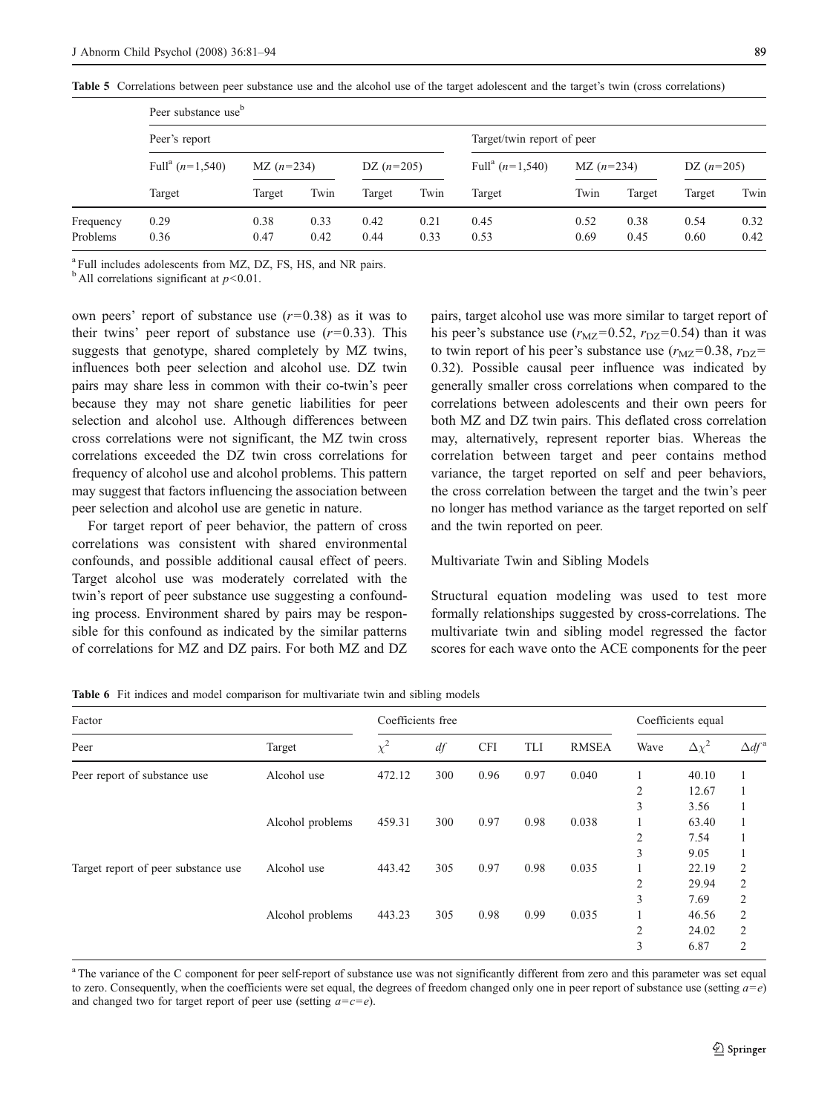|                       | Peer substance use <sup>b</sup>         |                            |              |              |              |                               |              |              |              |              |  |  |
|-----------------------|-----------------------------------------|----------------------------|--------------|--------------|--------------|-------------------------------|--------------|--------------|--------------|--------------|--|--|
|                       | Peer's report                           | Target/twin report of peer |              |              |              |                               |              |              |              |              |  |  |
|                       | Full <sup>a</sup> $(n=1,540)$<br>Target | $MZ (n=234)$               |              | DZ $(n=205)$ |              | Full <sup>a</sup> $(n=1,540)$ | $MZ (n=234)$ |              | DZ $(n=205)$ |              |  |  |
|                       |                                         | Target                     | Twin         | Target       | Twin         | Target                        | Twin         | Target       | Target       | Twin         |  |  |
| Frequency<br>Problems | 0.29<br>0.36                            | 0.38<br>0.47               | 0.33<br>0.42 | 0.42<br>0.44 | 0.21<br>0.33 | 0.45<br>0.53                  | 0.52<br>0.69 | 0.38<br>0.45 | 0.54<br>0.60 | 0.32<br>0.42 |  |  |

Table 5 Correlations between peer substance use and the alcohol use of the target adolescent and the target's twin (cross correlations)

<sup>a</sup> Full includes adolescents from MZ, DZ, FS, HS, and NR pairs.

 $<sup>b</sup>$  All correlations significant at  $p < 0.01$ .</sup>

own peers' report of substance use  $(r=0.38)$  as it was to their twins' peer report of substance use  $(r=0.33)$ . This suggests that genotype, shared completely by MZ twins, influences both peer selection and alcohol use. DZ twin pairs may share less in common with their co-twin's peer because they may not share genetic liabilities for peer selection and alcohol use. Although differences between cross correlations were not significant, the MZ twin cross correlations exceeded the DZ twin cross correlations for frequency of alcohol use and alcohol problems. This pattern may suggest that factors influencing the association between peer selection and alcohol use are genetic in nature.

For target report of peer behavior, the pattern of cross correlations was consistent with shared environmental confounds, and possible additional causal effect of peers. Target alcohol use was moderately correlated with the twin's report of peer substance use suggesting a confounding process. Environment shared by pairs may be responsible for this confound as indicated by the similar patterns of correlations for MZ and DZ pairs. For both MZ and DZ

pairs, target alcohol use was more similar to target report of his peer's substance use  $(r_{\text{MZ}}=0.52, r_{\text{DZ}}=0.54)$  than it was to twin report of his peer's substance use  $(r_{\rm MZ}=0.38, r_{\rm DZ}=$ 0.32). Possible causal peer influence was indicated by generally smaller cross correlations when compared to the correlations between adolescents and their own peers for both MZ and DZ twin pairs. This deflated cross correlation may, alternatively, represent reporter bias. Whereas the correlation between target and peer contains method variance, the target reported on self and peer behaviors, the cross correlation between the target and the twin's peer no longer has method variance as the target reported on self and the twin reported on peer.

# Multivariate Twin and Sibling Models

Structural equation modeling was used to test more formally relationships suggested by cross-correlations. The multivariate twin and sibling model regressed the factor scores for each wave onto the ACE components for the peer

|  |  |  | Table 6 Fit indices and model comparison for multivariate twin and sibling models |  |  |
|--|--|--|-----------------------------------------------------------------------------------|--|--|
|  |  |  |                                                                                   |  |  |

| Factor                              | Coefficients free |          | Coefficients equal |            |      |              |      |                 |                     |
|-------------------------------------|-------------------|----------|--------------------|------------|------|--------------|------|-----------------|---------------------|
| Peer                                | Target            | $\chi^2$ | df                 | <b>CFI</b> | TLI  | <b>RMSEA</b> | Wave | $\Delta \chi^2$ | $\Delta df^{\rm a}$ |
| Peer report of substance use        | Alcohol use       | 472.12   | 300                | 0.96       | 0.97 | 0.040        |      | 40.10           |                     |
|                                     |                   |          |                    |            |      |              | 2    | 12.67           |                     |
|                                     |                   |          |                    |            |      |              | 3    | 3.56            |                     |
|                                     | Alcohol problems  | 459.31   | 300                | 0.97       | 0.98 | 0.038        |      | 63.40           |                     |
|                                     |                   |          |                    |            |      |              | 2    | 7.54            |                     |
|                                     |                   |          |                    |            |      |              | 3    | 9.05            |                     |
| Target report of peer substance use | Alcohol use       | 443.42   | 305                | 0.97       | 0.98 | 0.035        |      | 22.19           | 2                   |
|                                     |                   |          |                    |            |      |              | 2    | 29.94           | 2                   |
|                                     |                   |          |                    |            |      |              | 3    | 7.69            | 2                   |
|                                     | Alcohol problems  | 443.23   | 305                | 0.98       | 0.99 | 0.035        |      | 46.56           | 2                   |
|                                     |                   |          |                    |            |      |              | 2    | 24.02           | 2                   |
|                                     |                   |          |                    |            |      |              | 3    | 6.87            | 2                   |

<span id="page-8-0"></span><sup>a</sup> The variance of the C component for peer self-report of substance use was not significantly different from zero and this parameter was set equal to zero. Consequently, when the coefficients were set equal, the degrees of freedom changed only one in peer report of substance use (setting  $a=e$ ) and changed two for target report of peer use (setting  $a = c = e$ ).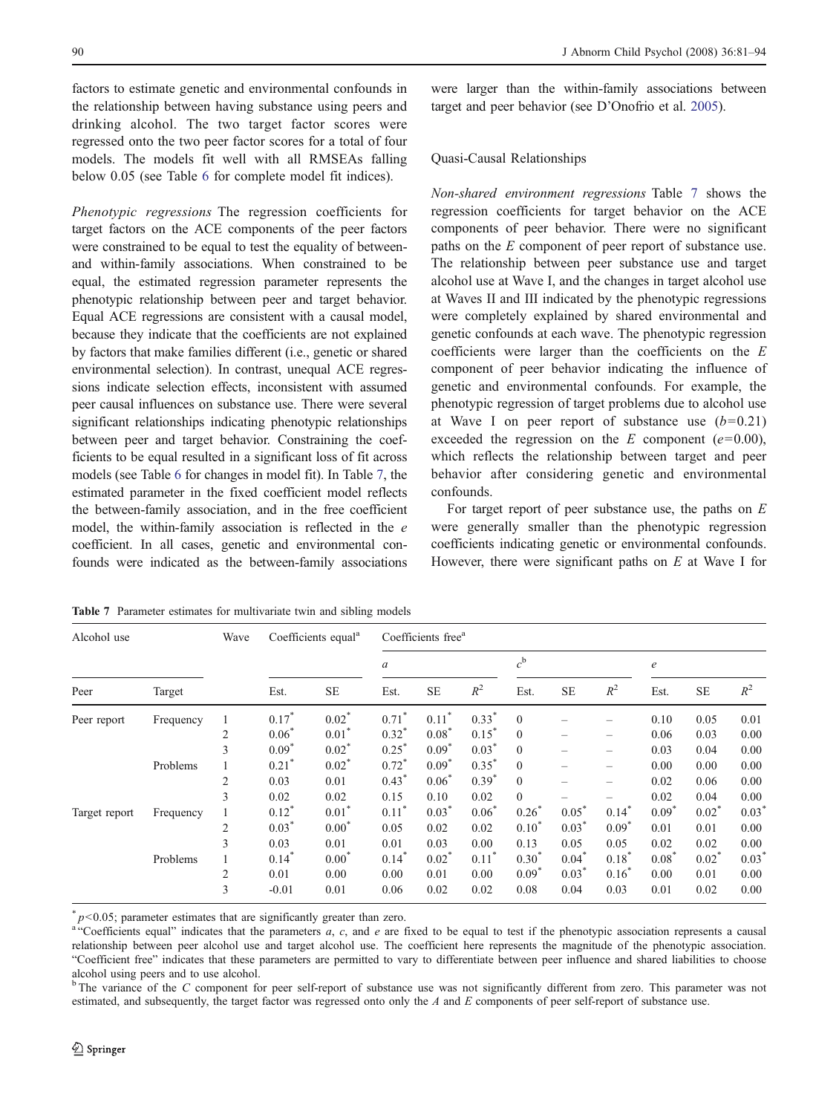factors to estimate genetic and environmental confounds in the relationship between having substance using peers and drinking alcohol. The two target factor scores were regressed onto the two peer factor scores for a total of four models. The models fit well with all RMSEAs falling below 0.05 (see Table [6](#page-8-0) for complete model fit indices).

Phenotypic regressions The regression coefficients for target factors on the ACE components of the peer factors were constrained to be equal to test the equality of betweenand within-family associations. When constrained to be equal, the estimated regression parameter represents the phenotypic relationship between peer and target behavior. Equal ACE regressions are consistent with a causal model, because they indicate that the coefficients are not explained by factors that make families different (i.e., genetic or shared environmental selection). In contrast, unequal ACE regressions indicate selection effects, inconsistent with assumed peer causal influences on substance use. There were several significant relationships indicating phenotypic relationships between peer and target behavior. Constraining the coefficients to be equal resulted in a significant loss of fit across models (see Table [6](#page-8-0) for changes in model fit). In Table [7](#page-9-0), the estimated parameter in the fixed coefficient model reflects the between-family association, and in the free coefficient model, the within-family association is reflected in the e coefficient. In all cases, genetic and environmental confounds were indicated as the between-family associations

were larger than the within-family associations between target and peer behavior (see D'Onofrio et al. [2005](#page-12-0)).

### Quasi-Causal Relationships

Non-shared environment regressions Table [7](#page-9-0) shows the regression coefficients for target behavior on the ACE components of peer behavior. There were no significant paths on the E component of peer report of substance use. The relationship between peer substance use and target alcohol use at Wave I, and the changes in target alcohol use at Waves II and III indicated by the phenotypic regressions were completely explained by shared environmental and genetic confounds at each wave. The phenotypic regression coefficients were larger than the coefficients on the E component of peer behavior indicating the influence of genetic and environmental confounds. For example, the phenotypic regression of target problems due to alcohol use at Wave I on peer report of substance use  $(b=0.21)$ exceeded the regression on the E component ( $e=0.00$ ), which reflects the relationship between target and peer behavior after considering genetic and environmental confounds.

For target report of peer substance use, the paths on  $E$ were generally smaller than the phenotypic regression coefficients indicating genetic or environmental confounds. However, there were significant paths on  $E$  at Wave I for

Table 7 Parameter estimates for multivariate twin and sibling models

| Alcohol use   |           | Wave           | Coefficients equal <sup>a</sup> |           |                     | Coefficients free <sup>a</sup> |                     |                     |                          |          |         |            |         |  |  |
|---------------|-----------|----------------|---------------------------------|-----------|---------------------|--------------------------------|---------------------|---------------------|--------------------------|----------|---------|------------|---------|--|--|
|               |           |                |                                 |           | $\boldsymbol{a}$    |                                |                     | $c^{\rm b}$         |                          |          |         | $\epsilon$ |         |  |  |
| Peer          | Target    |                | Est.                            | <b>SE</b> | Est.                | <b>SE</b>                      | $R^2$               | Est.                | <b>SE</b>                | $R^2$    | Est.    | <b>SE</b>  | $R^2$   |  |  |
| Peer report   | Frequency | 1              | $0.17*$                         | $0.02*$   | $0.71$ <sup>*</sup> | $0.11$ <sup>*</sup>            | $0.33*$             | $\mathbf{0}$        |                          |          | 0.10    | 0.05       | 0.01    |  |  |
|               |           | 2              | $0.06^*$                        | $0.01^*$  | $0.32*$             | $0.08*$                        | $0.15*$             | $\mathbf{0}$        |                          | —        | 0.06    | 0.03       | 0.00    |  |  |
|               |           | 3              | $0.09*$                         | $0.02*$   | $0.25^*$            | $0.09*$                        | $0.03*$             | $\mathbf{0}$        | $\overline{\phantom{0}}$ | -        | 0.03    | 0.04       | 0.00    |  |  |
|               | Problems  |                | $0.21$ <sup>*</sup>             | $0.02*$   | $0.72$ <sup>*</sup> | $0.09*$                        | $0.35*$             | $\mathbf{0}$        |                          | -        | 0.00    | 0.00       | 0.00    |  |  |
|               |           | 2              | 0.03                            | 0.01      | $0.43*$             | $0.06*$                        | $0.39*$             | $\theta$            |                          |          | 0.02    | 0.06       | 0.00    |  |  |
|               |           | 3              | 0.02                            | 0.02      | 0.15                | 0.10                           | 0.02                | $\mathbf{0}$        | -                        |          | 0.02    | 0.04       | 0.00    |  |  |
| Target report | Frequency |                | $0.12*$                         | $0.01*$   | $0.11$ <sup>*</sup> | $0.03*$                        | $0.06*$             | $0.26*$             | $0.05*$                  | $0.14*$  | $0.09*$ | $0.02^*$   | $0.03*$ |  |  |
|               |           | 2              | $0.03*$                         | $0.00^*$  | 0.05                | 0.02                           | 0.02                | $0.10^{\degree}$    | $0.03*$                  | $0.09^*$ | 0.01    | 0.01       | 0.00    |  |  |
|               |           | 3              | 0.03                            | 0.01      | 0.01                | 0.03                           | 0.00                | 0.13                | 0.05                     | 0.05     | 0.02    | 0.02       | 0.00    |  |  |
|               | Problems  | 1              | $0.14*$                         | $0.00*$   | $0.14*$             | $0.02*$                        | $0.11$ <sup>*</sup> | $0.30^*$            | $0.04*$                  | $0.18*$  | $0.08*$ | $0.02^*$   | $0.03*$ |  |  |
|               |           | $\overline{2}$ | 0.01                            | 0.00      | 0.00                | 0.01                           | 0.00                | $0.09$ <sup>*</sup> | $0.03*$                  | $0.16^*$ | 0.00    | 0.01       | 0.00    |  |  |
|               |           | 3              | $-0.01$                         | 0.01      | 0.06                | 0.02                           | 0.02                | 0.08                | 0.04                     | 0.03     | 0.01    | 0.02       | 0.00    |  |  |

\*  $p$ <0.05; parameter estimates that are significantly greater than zero.<br><sup>a</sup> "Coefficients equal" indicates that the parameters a, c, and e are fixed to be equal to test if the phenotypic association represents a causal relationship between peer alcohol use and target alcohol use. The coefficient here represents the magnitude of the phenotypic association. "Coefficient free" indicates that these parameters are permitted to vary to differentiate between peer influence and shared liabilities to choose alcohol using peers and to use alcohol.

<span id="page-9-0"></span> $b$  The variance of the C component for peer self-report of substance use was not significantly different from zero. This parameter was not estimated, and subsequently, the target factor was regressed onto only the  $A$  and  $E$  components of peer self-report of substance use.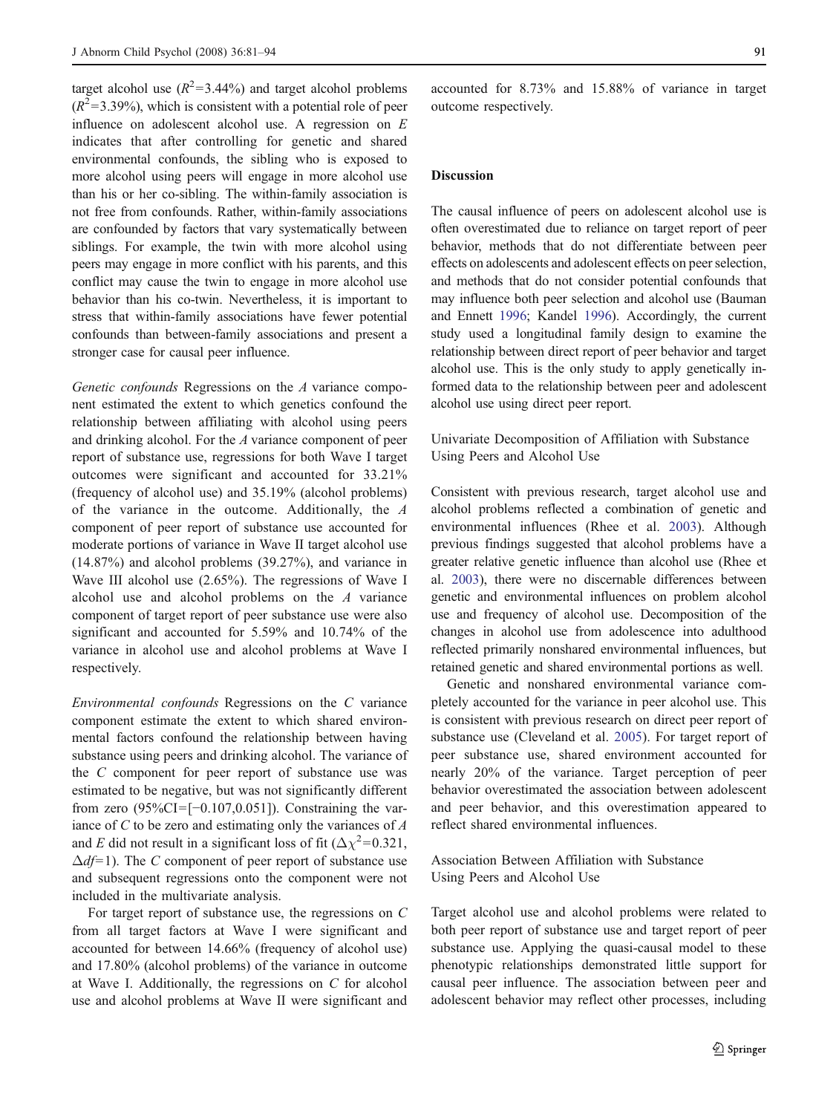target alcohol use  $(R^2=3.44\%)$  and target alcohol problems  $(R^2 = 3.39\%)$ , which is consistent with a potential role of peer influence on adolescent alcohol use. A regression on E indicates that after controlling for genetic and shared environmental confounds, the sibling who is exposed to more alcohol using peers will engage in more alcohol use than his or her co-sibling. The within-family association is not free from confounds. Rather, within-family associations are confounded by factors that vary systematically between siblings. For example, the twin with more alcohol using peers may engage in more conflict with his parents, and this conflict may cause the twin to engage in more alcohol use behavior than his co-twin. Nevertheless, it is important to stress that within-family associations have fewer potential confounds than between-family associations and present a stronger case for causal peer influence.

Genetic confounds Regressions on the A variance component estimated the extent to which genetics confound the relationship between affiliating with alcohol using peers and drinking alcohol. For the A variance component of peer report of substance use, regressions for both Wave I target outcomes were significant and accounted for 33.21% (frequency of alcohol use) and 35.19% (alcohol problems) of the variance in the outcome. Additionally, the A component of peer report of substance use accounted for moderate portions of variance in Wave II target alcohol use (14.87%) and alcohol problems (39.27%), and variance in Wave III alcohol use (2.65%). The regressions of Wave I alcohol use and alcohol problems on the A variance component of target report of peer substance use were also significant and accounted for 5.59% and 10.74% of the variance in alcohol use and alcohol problems at Wave I respectively.

Environmental confounds Regressions on the C variance component estimate the extent to which shared environmental factors confound the relationship between having substance using peers and drinking alcohol. The variance of the C component for peer report of substance use was estimated to be negative, but was not significantly different from zero  $(95\%CI = [-0.107, 0.051])$ . Constraining the variance of  $C$  to be zero and estimating only the variances of  $A$ and E did not result in a significant loss of fit  $(\Delta \chi^2 = 0.321)$ ,  $\Delta df=1$ ). The C component of peer report of substance use and subsequent regressions onto the component were not included in the multivariate analysis.

For target report of substance use, the regressions on C from all target factors at Wave I were significant and accounted for between 14.66% (frequency of alcohol use) and 17.80% (alcohol problems) of the variance in outcome at Wave I. Additionally, the regressions on C for alcohol use and alcohol problems at Wave II were significant and accounted for 8.73% and 15.88% of variance in target outcome respectively.

# Discussion

The causal influence of peers on adolescent alcohol use is often overestimated due to reliance on target report of peer behavior, methods that do not differentiate between peer effects on adolescents and adolescent effects on peer selection, and methods that do not consider potential confounds that may influence both peer selection and alcohol use (Bauman and Ennett [1996;](#page-12-0) Kandel [1996](#page-12-0)). Accordingly, the current study used a longitudinal family design to examine the relationship between direct report of peer behavior and target alcohol use. This is the only study to apply genetically informed data to the relationship between peer and adolescent alcohol use using direct peer report.

Univariate Decomposition of Affiliation with Substance Using Peers and Alcohol Use

Consistent with previous research, target alcohol use and alcohol problems reflected a combination of genetic and environmental influences (Rhee et al. [2003\)](#page-13-0). Although previous findings suggested that alcohol problems have a greater relative genetic influence than alcohol use (Rhee et al. [2003](#page-13-0)), there were no discernable differences between genetic and environmental influences on problem alcohol use and frequency of alcohol use. Decomposition of the changes in alcohol use from adolescence into adulthood reflected primarily nonshared environmental influences, but retained genetic and shared environmental portions as well.

Genetic and nonshared environmental variance completely accounted for the variance in peer alcohol use. This is consistent with previous research on direct peer report of substance use (Cleveland et al. [2005](#page-12-0)). For target report of peer substance use, shared environment accounted for nearly 20% of the variance. Target perception of peer behavior overestimated the association between adolescent and peer behavior, and this overestimation appeared to reflect shared environmental influences.

Association Between Affiliation with Substance Using Peers and Alcohol Use

Target alcohol use and alcohol problems were related to both peer report of substance use and target report of peer substance use. Applying the quasi-causal model to these phenotypic relationships demonstrated little support for causal peer influence. The association between peer and adolescent behavior may reflect other processes, including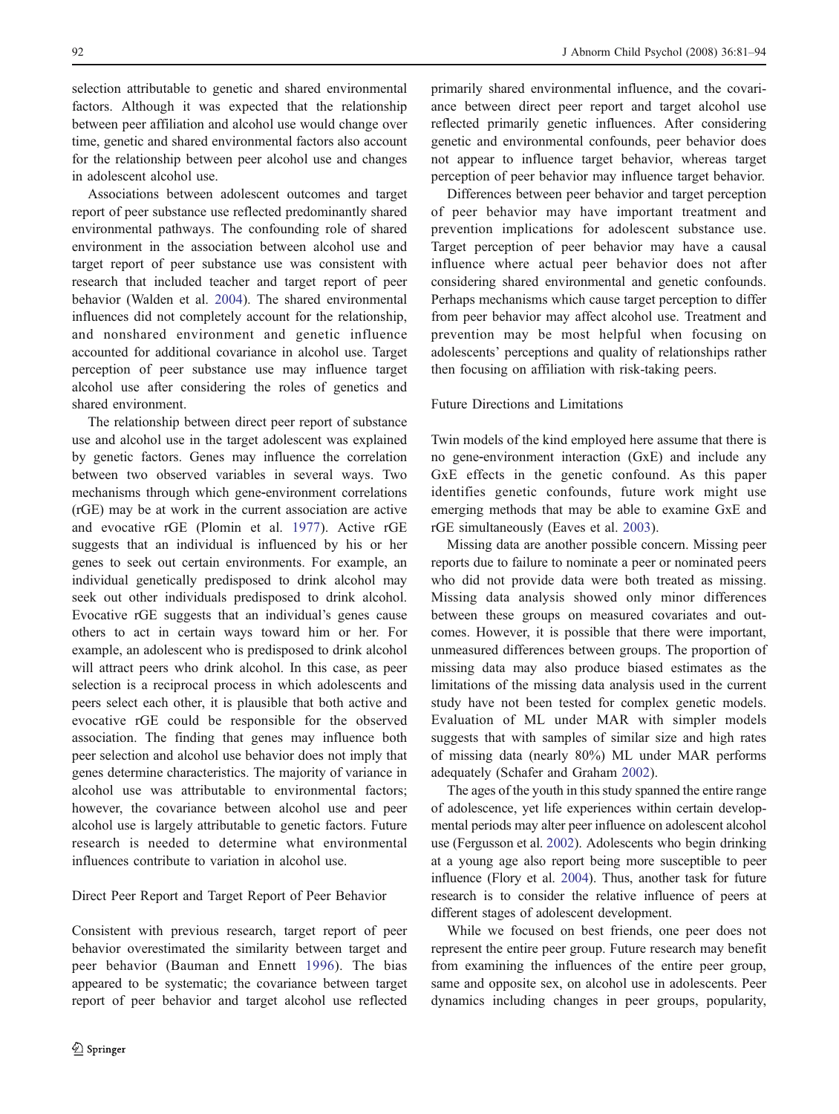selection attributable to genetic and shared environmental factors. Although it was expected that the relationship between peer affiliation and alcohol use would change over time, genetic and shared environmental factors also account for the relationship between peer alcohol use and changes in adolescent alcohol use.

Associations between adolescent outcomes and target report of peer substance use reflected predominantly shared environmental pathways. The confounding role of shared environment in the association between alcohol use and target report of peer substance use was consistent with research that included teacher and target report of peer behavior (Walden et al. [2004](#page-13-0)). The shared environmental influences did not completely account for the relationship, and nonshared environment and genetic influence accounted for additional covariance in alcohol use. Target perception of peer substance use may influence target alcohol use after considering the roles of genetics and shared environment.

The relationship between direct peer report of substance use and alcohol use in the target adolescent was explained by genetic factors. Genes may influence the correlation between two observed variables in several ways. Two mechanisms through which gene‐environment correlations (rGE) may be at work in the current association are active and evocative rGE (Plomin et al. [1977\)](#page-13-0). Active rGE suggests that an individual is influenced by his or her genes to seek out certain environments. For example, an individual genetically predisposed to drink alcohol may seek out other individuals predisposed to drink alcohol. Evocative rGE suggests that an individual's genes cause others to act in certain ways toward him or her. For example, an adolescent who is predisposed to drink alcohol will attract peers who drink alcohol. In this case, as peer selection is a reciprocal process in which adolescents and peers select each other, it is plausible that both active and evocative rGE could be responsible for the observed association. The finding that genes may influence both peer selection and alcohol use behavior does not imply that genes determine characteristics. The majority of variance in alcohol use was attributable to environmental factors; however, the covariance between alcohol use and peer alcohol use is largely attributable to genetic factors. Future research is needed to determine what environmental influences contribute to variation in alcohol use.

## Direct Peer Report and Target Report of Peer Behavior

Consistent with previous research, target report of peer behavior overestimated the similarity between target and peer behavior (Bauman and Ennett [1996\)](#page-12-0). The bias appeared to be systematic; the covariance between target report of peer behavior and target alcohol use reflected primarily shared environmental influence, and the covariance between direct peer report and target alcohol use reflected primarily genetic influences. After considering genetic and environmental confounds, peer behavior does not appear to influence target behavior, whereas target perception of peer behavior may influence target behavior.

Differences between peer behavior and target perception of peer behavior may have important treatment and prevention implications for adolescent substance use. Target perception of peer behavior may have a causal influence where actual peer behavior does not after considering shared environmental and genetic confounds. Perhaps mechanisms which cause target perception to differ from peer behavior may affect alcohol use. Treatment and prevention may be most helpful when focusing on adolescents' perceptions and quality of relationships rather then focusing on affiliation with risk-taking peers.

#### Future Directions and Limitations

Twin models of the kind employed here assume that there is no gene‐environment interaction (GxE) and include any GxE effects in the genetic confound. As this paper identifies genetic confounds, future work might use emerging methods that may be able to examine GxE and rGE simultaneously (Eaves et al. [2003](#page-12-0)).

Missing data are another possible concern. Missing peer reports due to failure to nominate a peer or nominated peers who did not provide data were both treated as missing. Missing data analysis showed only minor differences between these groups on measured covariates and outcomes. However, it is possible that there were important, unmeasured differences between groups. The proportion of missing data may also produce biased estimates as the limitations of the missing data analysis used in the current study have not been tested for complex genetic models. Evaluation of ML under MAR with simpler models suggests that with samples of similar size and high rates of missing data (nearly 80%) ML under MAR performs adequately (Schafer and Graham [2002\)](#page-13-0).

The ages of the youth in this study spanned the entire range of adolescence, yet life experiences within certain developmental periods may alter peer influence on adolescent alcohol use (Fergusson et al. [2002\)](#page-12-0). Adolescents who begin drinking at a young age also report being more susceptible to peer influence (Flory et al. [2004\)](#page-12-0). Thus, another task for future research is to consider the relative influence of peers at different stages of adolescent development.

While we focused on best friends, one peer does not represent the entire peer group. Future research may benefit from examining the influences of the entire peer group, same and opposite sex, on alcohol use in adolescents. Peer dynamics including changes in peer groups, popularity,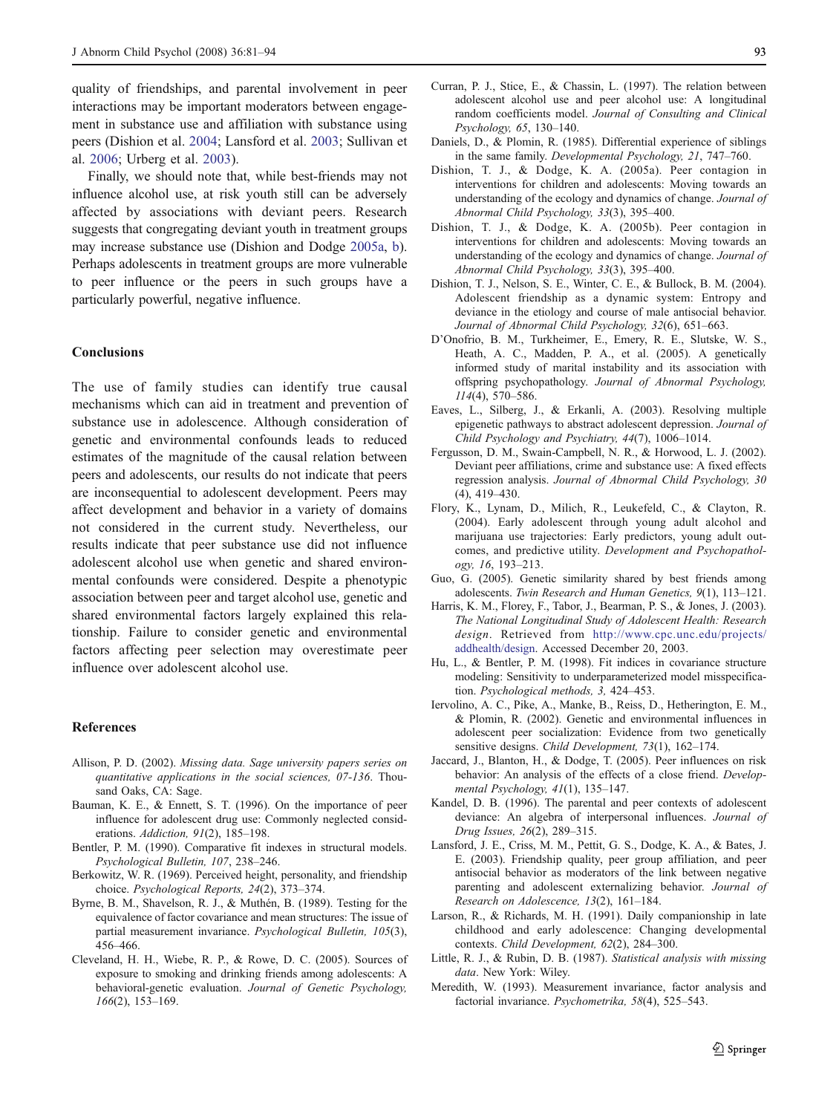quality of friendships, and parental involvement in peer interactions may be important moderators between engagement in substance use and affiliation with substance using peers (Dishion et al. [2004](#page-12-0); Lansford et al. [2003;](#page-12-0) Sullivan et al. [2006;](#page-13-0) Urberg et al. [2003](#page-13-0)).

Finally, we should note that, while best-friends may not influence alcohol use, at risk youth still can be adversely affected by associations with deviant peers. Research suggests that congregating deviant youth in treatment groups may increase substance use (Dishion and Dodge [2005a,](#page-12-0) [b\)](#page-12-0). Perhaps adolescents in treatment groups are more vulnerable to peer influence or the peers in such groups have a particularly powerful, negative influence.

## **Conclusions**

The use of family studies can identify true causal mechanisms which can aid in treatment and prevention of substance use in adolescence. Although consideration of genetic and environmental confounds leads to reduced estimates of the magnitude of the causal relation between peers and adolescents, our results do not indicate that peers are inconsequential to adolescent development. Peers may affect development and behavior in a variety of domains not considered in the current study. Nevertheless, our results indicate that peer substance use did not influence adolescent alcohol use when genetic and shared environmental confounds were considered. Despite a phenotypic association between peer and target alcohol use, genetic and shared environmental factors largely explained this relationship. Failure to consider genetic and environmental factors affecting peer selection may overestimate peer influence over adolescent alcohol use.

## References

- Allison, P. D. (2002). Missing data. Sage university papers series on quantitative applications in the social sciences, 07-136. Thousand Oaks, CA: Sage.
- Bauman, K. E., & Ennett, S. T. (1996). On the importance of peer influence for adolescent drug use: Commonly neglected considerations. Addiction, 91(2), 185–198.
- Bentler, P. M. (1990). Comparative fit indexes in structural models. Psychological Bulletin, 107, 238–246.
- Berkowitz, W. R. (1969). Perceived height, personality, and friendship choice. Psychological Reports, 24(2), 373–374.
- Byrne, B. M., Shavelson, R. J., & Muthén, B. (1989). Testing for the equivalence of factor covariance and mean structures: The issue of partial measurement invariance. Psychological Bulletin, 105(3), 456–466.
- <span id="page-12-0"></span>Cleveland, H. H., Wiebe, R. P., & Rowe, D. C. (2005). Sources of exposure to smoking and drinking friends among adolescents: A behavioral-genetic evaluation. Journal of Genetic Psychology, 166(2), 153–169.
- Curran, P. J., Stice, E., & Chassin, L. (1997). The relation between adolescent alcohol use and peer alcohol use: A longitudinal random coefficients model. Journal of Consulting and Clinical Psychology, 65, 130–140.
- Daniels, D., & Plomin, R. (1985). Differential experience of siblings in the same family. Developmental Psychology, 21, 747–760.
- Dishion, T. J., & Dodge, K. A. (2005a). Peer contagion in interventions for children and adolescents: Moving towards an understanding of the ecology and dynamics of change. Journal of Abnormal Child Psychology, 33(3), 395–400.
- Dishion, T. J., & Dodge, K. A. (2005b). Peer contagion in interventions for children and adolescents: Moving towards an understanding of the ecology and dynamics of change. Journal of Abnormal Child Psychology, 33(3), 395–400.
- Dishion, T. J., Nelson, S. E., Winter, C. E., & Bullock, B. M. (2004). Adolescent friendship as a dynamic system: Entropy and deviance in the etiology and course of male antisocial behavior. Journal of Abnormal Child Psychology, 32(6), 651–663.
- D'Onofrio, B. M., Turkheimer, E., Emery, R. E., Slutske, W. S., Heath, A. C., Madden, P. A., et al. (2005). A genetically informed study of marital instability and its association with offspring psychopathology. Journal of Abnormal Psychology, 114(4), 570–586.
- Eaves, L., Silberg, J., & Erkanli, A. (2003). Resolving multiple epigenetic pathways to abstract adolescent depression. Journal of Child Psychology and Psychiatry, 44(7), 1006–1014.
- Fergusson, D. M., Swain-Campbell, N. R., & Horwood, L. J. (2002). Deviant peer affiliations, crime and substance use: A fixed effects regression analysis. Journal of Abnormal Child Psychology, 30 (4), 419–430.
- Flory, K., Lynam, D., Milich, R., Leukefeld, C., & Clayton, R. (2004). Early adolescent through young adult alcohol and marijuana use trajectories: Early predictors, young adult outcomes, and predictive utility. Development and Psychopathology, 16, 193–213.
- Guo, G. (2005). Genetic similarity shared by best friends among adolescents. Twin Research and Human Genetics, 9(1), 113–121.
- Harris, K. M., Florey, F., Tabor, J., Bearman, P. S., & Jones, J. (2003). The National Longitudinal Study of Adolescent Health: Research design. Retrieved from [http://www.cpc.unc.edu/projects/](http://www.cpc.unc.edu/projects/addhealth/design) [addhealth/design.](http://www.cpc.unc.edu/projects/addhealth/design) Accessed December 20, 2003.
- Hu, L., & Bentler, P. M. (1998). Fit indices in covariance structure modeling: Sensitivity to underparameterized model misspecification. Psychological methods, 3, 424–453.
- Iervolino, A. C., Pike, A., Manke, B., Reiss, D., Hetherington, E. M., & Plomin, R. (2002). Genetic and environmental influences in adolescent peer socialization: Evidence from two genetically sensitive designs. Child Development, 73(1), 162-174.
- Jaccard, J., Blanton, H., & Dodge, T. (2005). Peer influences on risk behavior: An analysis of the effects of a close friend. Developmental Psychology, 41(1), 135–147.
- Kandel, D. B. (1996). The parental and peer contexts of adolescent deviance: An algebra of interpersonal influences. Journal of Drug Issues, 26(2), 289–315.
- Lansford, J. E., Criss, M. M., Pettit, G. S., Dodge, K. A., & Bates, J. E. (2003). Friendship quality, peer group affiliation, and peer antisocial behavior as moderators of the link between negative parenting and adolescent externalizing behavior. Journal of Research on Adolescence, 13(2), 161–184.
- Larson, R., & Richards, M. H. (1991). Daily companionship in late childhood and early adolescence: Changing developmental contexts. Child Development, 62(2), 284–300.
- Little, R. J., & Rubin, D. B. (1987). Statistical analysis with missing data. New York: Wiley.
- Meredith, W. (1993). Measurement invariance, factor analysis and factorial invariance. Psychometrika, 58(4), 525–543.